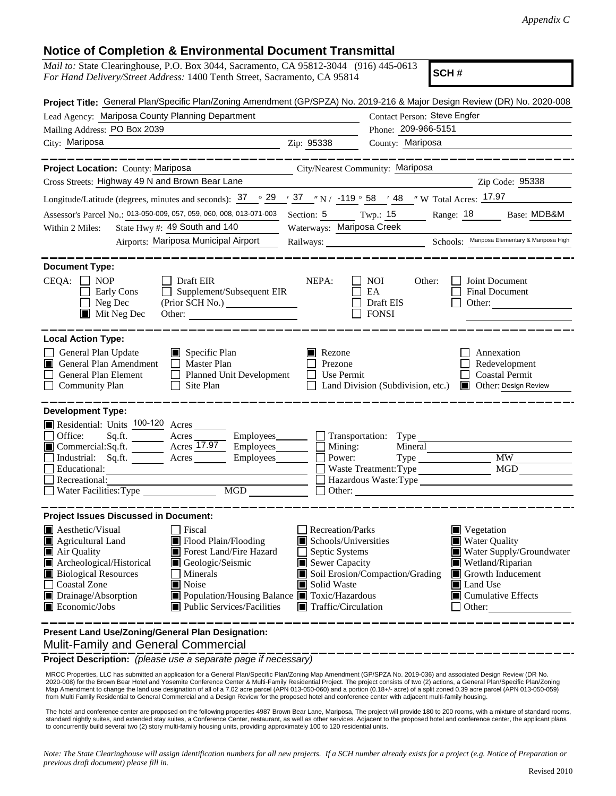## **Notice of Completion & Environmental Document Transmittal**

| nonce or complement a Environmental Document Transmir                                                                                                                             |                                                                   |                                               |  |  |  |
|-----------------------------------------------------------------------------------------------------------------------------------------------------------------------------------|-------------------------------------------------------------------|-----------------------------------------------|--|--|--|
| <i>Mail to:</i> State Clearinghouse, P.O. Box 3044, Sacramento, CA 95812-3044 (916) 445-0613<br>SCH#<br>For Hand Delivery/Street Address: 1400 Tenth Street, Sacramento, CA 95814 |                                                                   |                                               |  |  |  |
| Project Title: General Plan/Specific Plan/Zoning Amendment (GP/SPZA) No. 2019-216 & Major Design Review (DR) No. 2020-008                                                         |                                                                   |                                               |  |  |  |
| Lead Agency: Mariposa County Planning Department                                                                                                                                  | Contact Person: Steve Engfer                                      |                                               |  |  |  |
| Mailing Address: PO Box 2039                                                                                                                                                      | Phone: 209-966-5151                                               |                                               |  |  |  |
| City: Mariposa                                                                                                                                                                    | County: Mariposa<br>Zip: 95338                                    |                                               |  |  |  |
| <b>Project Location: County: Mariposa</b>                                                                                                                                         | City/Nearest Community: Mariposa                                  |                                               |  |  |  |
| Cross Streets: Highway 49 N and Brown Bear Lane                                                                                                                                   | Zip Code: 95338                                                   |                                               |  |  |  |
| Longitude/Latitude (degrees, minutes and seconds): $\frac{37}{29}$ $\frac{29}{37}$ $\frac{73}{10}$ $\frac{119}{25}$ 58 $\frac{148}{25}$ W Total Acres: 17.97                      |                                                                   |                                               |  |  |  |
|                                                                                                                                                                                   |                                                                   |                                               |  |  |  |
| Assessor's Parcel No.: 013-050-009, 057, 059, 060, 008, 013-071-003<br>Section: 5 Twp.: 15 Range: 18 Base: MDB&M<br>State Hwy #: 49 South and 140                                 |                                                                   |                                               |  |  |  |
| Within 2 Miles:<br>Airports: Mariposa Municipal Airport                                                                                                                           | Waterways: Mariposa Creek                                         | Schools: Mariposa Elementary & Mariposa High  |  |  |  |
|                                                                                                                                                                                   |                                                                   |                                               |  |  |  |
| <b>Document Type:</b>                                                                                                                                                             |                                                                   |                                               |  |  |  |
| <b>NOP</b><br>$CEQA: \Box$<br><b>Draft EIR</b>                                                                                                                                    | NEPA:<br><b>NOI</b><br>Other:                                     | Joint Document                                |  |  |  |
| $\Box$ Supplement/Subsequent EIR<br>Early Cons<br>(Prior SCH No.)<br>Neg Dec                                                                                                      | EA<br>Draft EIS                                                   | Final Document<br>Other:                      |  |  |  |
| $\blacksquare$ Mit Neg Dec<br>Other:                                                                                                                                              | <b>FONSI</b>                                                      |                                               |  |  |  |
|                                                                                                                                                                                   |                                                                   |                                               |  |  |  |
| <b>Local Action Type:</b>                                                                                                                                                         |                                                                   |                                               |  |  |  |
| General Plan Update<br>$\Box$ Specific Plan                                                                                                                                       | $\blacksquare$ Rezone                                             | Annexation                                    |  |  |  |
| General Plan Amendment<br>Master Plan                                                                                                                                             | Prezone                                                           | Redevelopment                                 |  |  |  |
| General Plan Element<br>Planned Unit Development<br><b>Community Plan</b><br>Site Plan<br>$\perp$                                                                                 | Use Permit<br>Land Division (Subdivision, etc.)                   | <b>Coastal Permit</b><br>Other: Design Review |  |  |  |
|                                                                                                                                                                                   |                                                                   |                                               |  |  |  |
| <b>Development Type:</b>                                                                                                                                                          |                                                                   |                                               |  |  |  |
| Residential: Units 100-120 Acres                                                                                                                                                  |                                                                   |                                               |  |  |  |
| Sq.ft. $\qquad$<br>Office:<br>Acres                                                                                                                                               | Employees <u>The Transportation</u> : Type                        |                                               |  |  |  |
| Commercial:Sq.ft. _______ Acres 17.97 Employees<br>Industrial: Sq.ft. _______ Acres ______                                                                                        | Mining:<br>Power:                                                 | Mineral<br><b>MW</b><br>Type                  |  |  |  |
| Educational:                                                                                                                                                                      | Waste Treatment: Type                                             |                                               |  |  |  |
| Recreational:                                                                                                                                                                     | Hazardous Waste: Type                                             |                                               |  |  |  |
| <b>MGD</b><br>Water Facilities: Type                                                                                                                                              | Other:                                                            |                                               |  |  |  |
| <b>Project Issues Discussed in Document:</b>                                                                                                                                      |                                                                   |                                               |  |  |  |
| <b>Aesthetic/Visual</b><br>Fiscal                                                                                                                                                 | Recreation/Parks                                                  | $\blacksquare$ Vegetation                     |  |  |  |
| Agricultural Land<br>■ Flood Plain/Flooding                                                                                                                                       | Schools/Universities                                              | Water Quality                                 |  |  |  |
| Forest Land/Fire Hazard<br>Air Quality                                                                                                                                            | Water Supply/Groundwater<br>Septic Systems                        |                                               |  |  |  |
| Archeological/Historical<br>Geologic/Seismic                                                                                                                                      | Sewer Capacity<br>Wetland/Riparian                                |                                               |  |  |  |
| <b>Biological Resources</b><br>Minerals                                                                                                                                           | Soil Erosion/Compaction/Grading<br>Growth Inducement              |                                               |  |  |  |
| Coastal Zone<br>Noise<br>Drainage/Absorption<br>■ Population/Housing Balance ■ Toxic/Hazardous                                                                                    | Land Use<br>Solid Waste<br>Ш<br>$\blacksquare$ Cumulative Effects |                                               |  |  |  |
| $\blacksquare$ Economic/Jobs<br>Public Services/Facilities                                                                                                                        | Traffic/Circulation                                               | Other:                                        |  |  |  |
|                                                                                                                                                                                   |                                                                   |                                               |  |  |  |
| Present Land Use/Zoning/General Plan Designation:                                                                                                                                 |                                                                   |                                               |  |  |  |

Mulit-Family and General Commercial

**Project Description:** *(please use a separate page if necessary)*

 MRCC Properties, LLC has submitted an application for a General Plan/Specific Plan/Zoning Map Amendment (GP/SPZA No. 2019-036) and associated Design Review (DR No. 2020-008) for the Brown Bear Hotel and Yosemite Conference Center & Multi-Family Residential Project. The project consists of two (2) actions, a General Plan/Specific Plan/Zoning Map Amendment to change the land use designation of all of a 7.02 acre parcel (APN 013-050-060) and a portion (0.18+/- acre) of a split zoned 0.39 acre parcel (APN 013-050-059) from Multi Family Residential to General Commercial and a Design Review for the proposed hotel and conference center with adjacent multi-family housing.

The hotel and conference center are proposed on the following properties 4987 Brown Bear Lane, Mariposa, The project will provide 180 to 200 rooms, with a mixture of standard rooms, standard nightly suites, and extended stay suites, a Conference Center, restaurant, as well as other services. Adjacent to the proposed hotel and conference center, the applicant plans to concurrently build several two (2) story multi-family housing units, providing approximately 100 to 120 residential units.

*Note: The State Clearinghouse will assign identification numbers for all new projects. If a SCH number already exists for a project (e.g. Notice of Preparation or previous draft document) please fill in.*